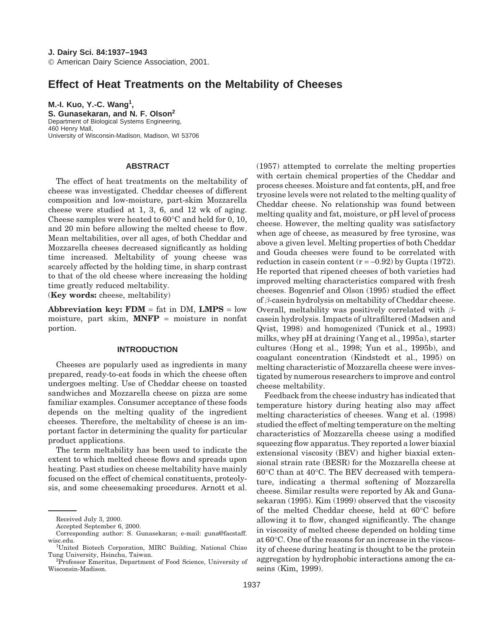# **Effect of Heat Treatments on the Meltability of Cheeses**

**M.-I. Kuo, Y.-C. Wang<sup>1</sup> , S. Gunasekaran, and N. F. Olson<sup>2</sup>** Department of Biological Systems Engineering, 460 Henry Mall, University of Wisconsin-Madison, Madison, WI 53706

## **ABSTRACT**

The effect of heat treatments on the meltability of cheese was investigated. Cheddar cheeses of different composition and low-moisture, part-skim Mozzarella cheese were studied at 1, 3, 6, and 12 wk of aging. Cheese samples were heated to 60°C and held for 0, 10, and 20 min before allowing the melted cheese to flow. Mean meltabilities, over all ages, of both Cheddar and Mozzarella cheeses decreased significantly as holding time increased. Meltability of young cheese was scarcely affected by the holding time, in sharp contrast to that of the old cheese where increasing the holding time greatly reduced meltability.

(**Key words:** cheese, meltability)

**Abbreviation key: FDM** = fat in DM, **LMPS** = low moisture, part skim, **MNFP** = moisture in nonfat portion.

## **INTRODUCTION**

Cheeses are popularly used as ingredients in many prepared, ready-to-eat foods in which the cheese often undergoes melting. Use of Cheddar cheese on toasted sandwiches and Mozzarella cheese on pizza are some familiar examples. Consumer acceptance of these foods depends on the melting quality of the ingredient cheeses. Therefore, the meltability of cheese is an important factor in determining the quality for particular product applications.

The term meltability has been used to indicate the extent to which melted cheese flows and spreads upon heating. Past studies on cheese meltability have mainly focused on the effect of chemical constituents, proteolysis, and some cheesemaking procedures. Arnott et al. (1957) attempted to correlate the melting properties with certain chemical properties of the Cheddar and process cheeses. Moisture and fat contents, pH, and free tryosine levels were not related to the melting quality of Cheddar cheese. No relationship was found between melting quality and fat, moisture, or pH level of process cheese. However, the melting quality was satisfactory when age of cheese, as measured by free tyrosine, was above a given level. Melting properties of both Cheddar and Gouda cheeses were found to be correlated with reduction in casein content  $(r = -0.92)$  by Gupta (1972). He reported that ripened cheeses of both varieties had improved melting characteristics compared with fresh cheeses. Bogenrief and Olson (1995) studied the effect of *β*-casein hydrolysis on meltability of Cheddar cheese. Overall, meltability was positively correlated with *β*casein hydrolysis. Impacts of ultrafiltered (Madsen and Qvist, 1998) and homogenized (Tunick et al., 1993) milks, whey pH at draining (Yang et al., 1995a), starter cultures (Hong et al., 1998; Yun et al., 1995b), and coagulant concentration (Kindstedt et al., 1995) on melting characteristic of Mozzarella cheese were investigated by numerous researchers to improve and control cheese meltability.

Feedback from the cheese industry has indicated that temperature history during heating also may affect melting characteristics of cheeses. Wang et al. (1998) studied the effect of melting temperature on the melting characteristics of Mozzarella cheese using a modified squeezing flow apparatus. They reported a lower biaxial extensional viscosity (BEV) and higher biaxial extensional strain rate (BESR) for the Mozzarella cheese at 60°C than at 40°C. The BEV decreased with temperature, indicating a thermal softening of Mozzarella cheese. Similar results were reported by Ak and Gunasekaran (1995). Kim (1999) observed that the viscosity of the melted Cheddar cheese, held at 60°C before allowing it to flow, changed significantly. The change in viscosity of melted cheese depended on holding time at 60°C. One of the reasons for an increase in the viscosity of cheese during heating is thought to be the protein aggregation by hydrophobic interactions among the caseins (Kim, 1999).

Received July 3, 2000.

Accepted September 6, 2000.

Corresponding author: S. Gunasekaran; e-mail: guna@facstaff. wisc.edu. <sup>1</sup>

United Biotech Corporation, MIRC Building, National Chiao Tung University, Hsinchu, Taiwan. <sup>2</sup>

<sup>&</sup>lt;sup>2</sup>Professor Emeritus, Department of Food Science, University of Wisconsin-Madison.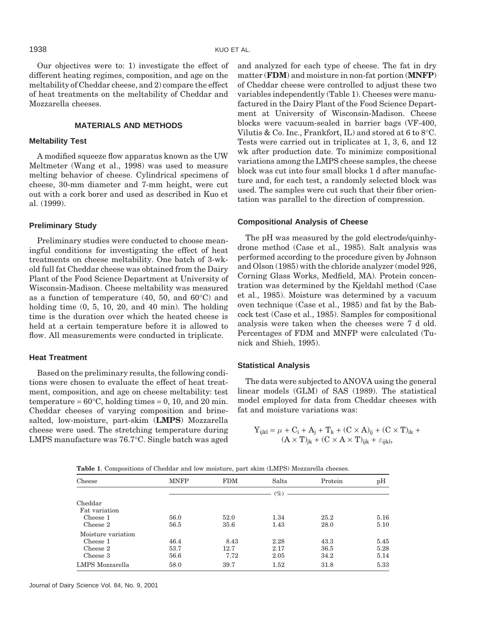Our objectives were to: 1) investigate the effect of different heating regimes, composition, and age on the meltability of Cheddar cheese, and 2) compare the effect of heat treatments on the meltability of Cheddar and Mozzarella cheeses.

## **MATERIALS AND METHODS**

## **Meltability Test**

A modified squeeze flow apparatus known as the UW Meltmeter (Wang et al., 1998) was used to measure melting behavior of cheese. Cylindrical specimens of cheese, 30-mm diameter and 7-mm height, were cut out with a cork borer and used as described in Kuo et al. (1999).

#### **Preliminary Study**

Preliminary studies were conducted to choose meaningful conditions for investigating the effect of heat treatments on cheese meltability. One batch of 3-wkold full fat Cheddar cheese was obtained from the Dairy Plant of the Food Science Department at University of Wisconsin-Madison. Cheese meltability was measured as a function of temperature (40, 50, and 60°C) and holding time  $(0, 5, 10, 20, \text{ and } 40 \text{ min})$ . The holding time is the duration over which the heated cheese is held at a certain temperature before it is allowed to flow. All measurements were conducted in triplicate.

#### **Heat Treatment**

Based on the preliminary results, the following conditions were chosen to evaluate the effect of heat treatment, composition, and age on cheese meltability: test temperature =  $60^{\circ}$ C, holding times = 0, 10, and 20 min. Cheddar cheeses of varying composition and brinesalted, low-moisture, part-skim (**LMPS**) Mozzarella cheese were used. The stretching temperature during LMPS manufacture was 76.7°C. Single batch was aged and analyzed for each type of cheese. The fat in dry matter (**FDM**) and moisture in non-fat portion (**MNFP**) of Cheddar cheese were controlled to adjust these two variables independently (Table 1). Cheeses were manufactured in the Dairy Plant of the Food Science Department at University of Wisconsin-Madison. Cheese blocks were vacuum-sealed in barrier bags (VF-400, Vilutis & Co. Inc., Frankfort, IL) and stored at 6 to 8°C. Tests were carried out in triplicates at 1, 3, 6, and 12 wk after production date. To minimize compositional variations among the LMPS cheese samples, the cheese block was cut into four small blocks 1 d after manufacture and, for each test, a randomly selected block was used. The samples were cut such that their fiber orientation was parallel to the direction of compression.

## **Compositional Analysis of Cheese**

The pH was measured by the gold electrode/quinhydrone method (Case et al., 1985). Salt analysis was performed according to the procedure given by Johnson and Olson (1985) with the chloride analyzer (model 926, Corning Glass Works, Medfield, MA). Protein concentration was determined by the Kjeldahl method (Case et al., 1985). Moisture was determined by a vacuum oven technique (Case et al., 1985) and fat by the Babcock test (Case et al., 1985). Samples for compositional analysis were taken when the cheeses were 7 d old. Percentages of FDM and MNFP were calculated (Tunick and Shieh, 1995).

#### **Statistical Analysis**

The data were subjected to ANOVA using the general linear models (GLM) of SAS (1989). The statistical model employed for data from Cheddar cheeses with fat and moisture variations was:

$$
Y_{ijkl} = \mu + C_i + A_j + T_k + (C \times A)_{ij} + (C \times T)_{ik} + (A \times T)_{jk} + (C \times A \times T)_{ijk} + \varepsilon_{ijkl},
$$

|  |  |  |  |  |  |  | Table 1. Compositions of Cheddar and low moisture, part skim (LMPS) Mozzarella cheeses. |  |
|--|--|--|--|--|--|--|-----------------------------------------------------------------------------------------|--|
|--|--|--|--|--|--|--|-----------------------------------------------------------------------------------------|--|

| Cheese                   | <b>MNFP</b> | <b>FDM</b> | Salts         | Protein | pH   |
|--------------------------|-------------|------------|---------------|---------|------|
|                          |             |            | $\frac{1}{2}$ |         |      |
| Cheddar<br>Fat variation |             |            |               |         |      |
| Cheese 1                 | 56.0        | 52.0       | 1.34          | 25.2    | 5.16 |
| Cheese 2                 | 56.5        | 35.6       | 1.43          | 28.0    | 5.10 |
| Moisture variation       |             |            |               |         |      |
| Cheese 1                 | 46.4        | 8.43       | 2.28          | 43.3    | 5.45 |
| Cheese 2                 | 53.7        | 12.7       | 2.17          | 36.5    | 5.28 |
| Cheese 3                 | 56.6        | 7.72       | 2.05          | 34.2    | 5.14 |
| LMPS Mozzarella          | 58.0        | 39.7       | 1.52          | 31.8    | 5.33 |

Journal of Dairy Science Vol. 84, No. 9, 2001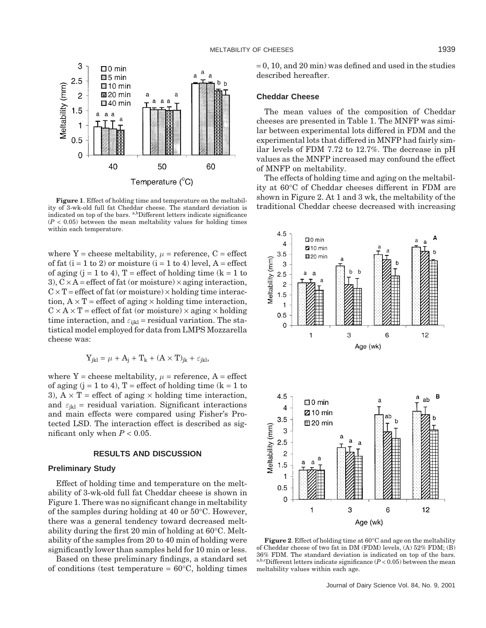

**Figure 1**. Effect of holding time and temperature on the meltability of 3-wk-old full fat Cheddar cheese. The standard deviation is indicated on top of the bars. a,bDifferent letters indicate significance  $(P < 0.05)$  between the mean meltability values for holding times within each temperature.

where Y = cheese meltability,  $\mu$  = reference, C = effect of fat  $(i = 1 to 2)$  or moisture  $(i = 1 to 4)$  level,  $A =$  effect of aging  $(j = 1 \text{ to } 4)$ , T = effect of holding time  $(k = 1 \text{ to } 4)$ 3),  $C \times A$  = effect of fat (or moisture)  $\times$  aging interaction,  $C \times T$  = effect of fat (or moisture)  $\times$  holding time interaction,  $A \times T$  = effect of aging  $\times$  holding time interaction,  $C \times A \times T$  = effect of fat (or moisture)  $\times$  aging  $\times$  holding time interaction, and  $\varepsilon_{ijkl}$  = residual variation. The statistical model employed for data from LMPS Mozzarella cheese was:

$$
Y_{jkl} = \mu + A_j + T_k + (A \times T)_{jk} + \varepsilon_{jkl},
$$

where  $Y =$  cheese meltability,  $\mu =$  reference,  $A =$  effect of aging  $(j = 1 \text{ to } 4)$ , T = effect of holding time  $(k = 1 \text{ to } 4)$ 3),  $A \times T$  = effect of aging  $\times$  holding time interaction, and  $\varepsilon_{ikl}$  = residual variation. Significant interactions and main effects were compared using Fisher's Protected LSD. The interaction effect is described as significant only when  $P < 0.05$ .

### **RESULTS AND DISCUSSION**

#### **Preliminary Study**

Effect of holding time and temperature on the meltability of 3-wk-old full fat Cheddar cheese is shown in Figure 1. There was no significant change in meltability of the samples during holding at 40 or 50°C. However, there was a general tendency toward decreased meltability during the first 20 min of holding at 60°C. Meltability of the samples from 20 to 40 min of holding were significantly lower than samples held for 10 min or less.

Based on these preliminary findings, a standard set of conditions (test temperature  $= 60^{\circ}$ C, holding times  $= 0$ , 10, and 20 min) was defined and used in the studies described hereafter.

## **Cheddar Cheese**

The mean values of the composition of Cheddar cheeses are presented in Table 1. The MNFP was similar between experimental lots differed in FDM and the experimental lots that differed in MNFP had fairly similar levels of FDM 7.72 to 12.7%. The decrease in pH values as the MNFP increased may confound the effect of MNFP on meltability.

The effects of holding time and aging on the meltability at 60°C of Cheddar cheeses different in FDM are shown in Figure 2. At 1 and 3 wk, the meltability of the traditional Cheddar cheese decreased with increasing



**Figure 2**. Effect of holding time at 60°C and age on the meltability of Cheddar cheese of two fat in DM (FDM) levels, (A) 52% FDM; (B) 36% FDM. The standard deviation is indicated on top of the bars. a,b,cDifferent letters indicate significance  $(P < 0.05)$  between the mean meltability values within each age.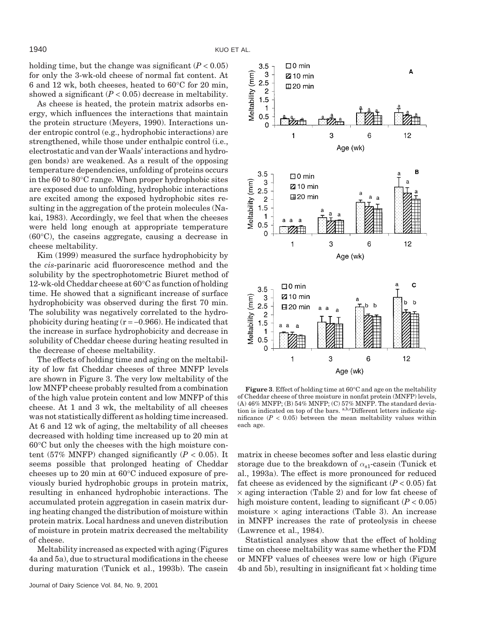holding time, but the change was significant  $(P < 0.05)$ for only the 3-wk-old cheese of normal fat content. At 6 and 12 wk, both cheeses, heated to 60°C for 20 min, showed a significant  $(P < 0.05)$  decrease in meltability.

As cheese is heated, the protein matrix adsorbs energy, which influences the interactions that maintain the protein structure (Meyers, 1990). Interactions under entropic control (e.g., hydrophobic interactions) are strengthened, while those under enthalpic control (i.e., electrostatic and van der Waals' interactions and hydrogen bonds) are weakened. As a result of the opposing temperature dependencies, unfolding of proteins occurs in the 60 to 80°C range. When proper hydrophobic sites are exposed due to unfolding, hydrophobic interactions are excited among the exposed hydrophobic sites resulting in the aggregation of the protein molecules (Nakai, 1983). Accordingly, we feel that when the cheeses were held long enough at appropriate temperature (60°C), the caseins aggregate, causing a decrease in cheese meltability.

Kim (1999) measured the surface hydrophobicity by the *cis*-parinaric acid fluororescence method and the solubility by the spectrophotometric Biuret method of 12-wk-old Cheddar cheese at 60°C as function of holding time. He showed that a significant increase of surface hydrophobicity was observed during the first 70 min. The solubility was negatively correlated to the hydrophobicity during heating  $(r = -0.966)$ . He indicated that the increase in surface hydrophobicity and decrease in solubility of Cheddar cheese during heating resulted in the decrease of cheese meltability.

The effects of holding time and aging on the meltability of low fat Cheddar cheeses of three MNFP levels are shown in Figure 3. The very low meltability of the low MNFP cheese probably resulted from a combination of the high value protein content and low MNFP of this cheese. At 1 and 3 wk, the meltability of all cheeses was not statistically different as holding time increased. At 6 and 12 wk of aging, the meltability of all cheeses decreased with holding time increased up to 20 min at 60°C but only the cheeses with the high moisture content (57% MNFP) changed significantly  $(P < 0.05)$ . It seems possible that prolonged heating of Cheddar cheeses up to 20 min at 60°C induced exposure of previously buried hydrophobic groups in protein matrix, resulting in enhanced hydrophobic interactions. The accumulated protein aggregation in casein matrix during heating changed the distribution of moisture within protein matrix. Local hardness and uneven distribution of moisture in protein matrix decreased the meltability of cheese.

Meltability increased as expected with aging (Figures 4a and 5a), due to structural modifications in the cheese during maturation (Tunick et al., 1993b). The casein



**Figure 3**. Effect of holding time at 60°C and age on the meltability of Cheddar cheese of three moisture in nonfat protein (MNFP) levels, (A) 46% MNFP; (B) 54% MNFP; (C) 57% MNFP. The standard deviation is indicated on top of the bars. <sup>a,b,c</sup>Different letters indicate significance  $(P < 0.05)$  between the mean meltability values within each age.

matrix in cheese becomes softer and less elastic during storage due to the breakdown of *α*s1-casein (Tunick et al., 1993a). The effect is more pronounced for reduced fat cheese as evidenced by the significant  $(P < 0.05)$  fat  $\times$  aging interaction (Table 2) and for low fat cheese of high moisture content, leading to significant  $(P < 0.05)$ moisture  $\times$  aging interactions (Table 3). An increase in MNFP increases the rate of proteolysis in cheese (Lawrence et al., 1984).

Statistical analyses show that the effect of holding time on cheese meltability was same whether the FDM or MNFP values of cheeses were low or high (Figure 4b and 5b), resulting in insignificant fat  $\times$  holding time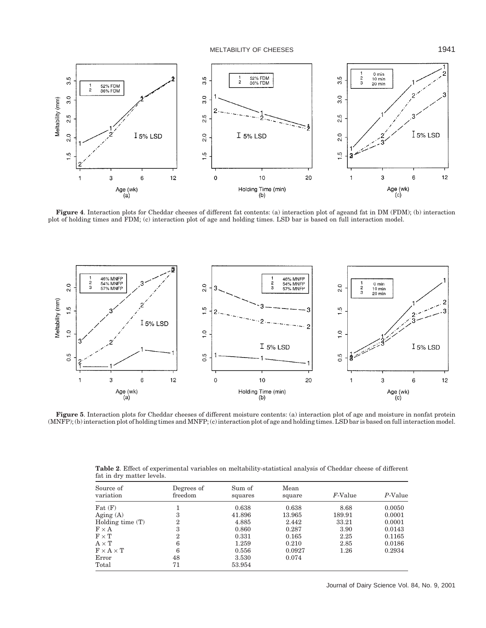MELTABILITY OF CHEESES 1941



**Figure 4**. Interaction plots for Cheddar cheeses of different fat contents: (a) interaction plot of ageand fat in DM (FDM); (b) interaction plot of holding times and FDM; (c) interaction plot of age and holding times. LSD bar is based on full interaction model.



**Figure 5**. Interaction plots for Cheddar cheeses of different moisture contents: (a) interaction plot of age and moisture in nonfat protein (MNFP); (b) interaction plot of holding times and MNFP; (c) interaction plot of age and holding times. LSD bar is based on full interaction model.

|                           | <b>Table 2.</b> Effect of experimental variables on meltability-statistical analysis of Cheddar cheese of different |  |  |
|---------------------------|---------------------------------------------------------------------------------------------------------------------|--|--|
| fat in dry matter levels. |                                                                                                                     |  |  |
|                           |                                                                                                                     |  |  |

| Source of<br>variation       | Degrees of<br>freedom | Sum of<br>squares | Mean<br>square | $F$ -Value | P-Value |
|------------------------------|-----------------------|-------------------|----------------|------------|---------|
| $_{\rm{Fat}}$ $_{\rm{(F)}}$  |                       | 0.638             | 0.638          | 8.68       | 0.0050  |
| Aging (A)                    |                       | 41.896            | 13.965         | 189.91     | 0.0001  |
| Holding time $(T)$           |                       | 4.885             | 2.442          | 33.21      | 0.0001  |
| $F \times A$                 |                       | 0.860             | 0.287          | 3.90       | 0.0143  |
| $\text{F}\times\text{T}$     |                       | 0.331             | 0.165          | 2.25       | 0.1165  |
| $\textrm{A}\times\textrm{T}$ | 6                     | 1.259             | 0.210          | 2.85       | 0.0186  |
| $F \times A \times T$        | 6                     | 0.556             | 0.0927         | 1.26       | 0.2934  |
| $\rm Error$                  | 48                    | 3.530             | 0.074          |            |         |
| Total                        | 71                    | 53.954            |                |            |         |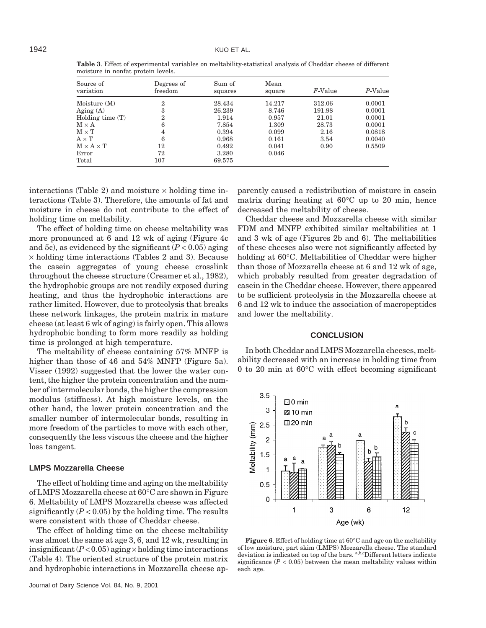| Source of<br>variation                     | Degrees of<br>freedom | Sum of<br>squares | Mean<br>square | $F$ -Value | $P$ -Value |
|--------------------------------------------|-----------------------|-------------------|----------------|------------|------------|
| Moisture (M)                               | 2                     | 28.434            | 14.217         | 312.06     | 0.0001     |
| Aging (A)                                  | 3                     | 26.239            | 8.746          | 191.98     | 0.0001     |
| Holding time (T)                           | 2                     | 1.914             | 0.957          | 21.01      | 0.0001     |
| $\text{M} \times \text{A}$                 | 6                     | 7.854             | 1.309          | 28.73      | 0.0001     |
| $\mathrm{M}\times\mathrm{T}$               | 4                     | 0.394             | 0.099          | 2.16       | 0.0818     |
| $\textrm{A}\times\textrm{T}$               | 6                     | 0.968             | 0.161          | 3.54       | 0.0040     |
| $\text{M} \times \text{A} \times \text{T}$ | 12                    | 0.492             | 0.041          | 0.90       | 0.5509     |
| $\rm Error$                                | 72                    | 3.280             | 0.046          |            |            |
| Total                                      | 107                   | 69.575            |                |            |            |

**Table 3**. Effect of experimental variables on meltability-statistical analysis of Cheddar cheese of different moisture in nonfat protein levels.

interactions (Table 2) and moisture  $\times$  holding time interactions (Table 3). Therefore, the amounts of fat and moisture in cheese do not contribute to the effect of holding time on meltability.

The effect of holding time on cheese meltability was more pronounced at 6 and 12 wk of aging (Figure 4c and 5c), as evidenced by the significant  $(P < 0.05)$  aging  $\times$  holding time interactions (Tables 2 and 3). Because the casein aggregates of young cheese crosslink throughout the cheese structure (Creamer et al., 1982), the hydrophobic groups are not readily exposed during heating, and thus the hydrophobic interactions are rather limited. However, due to proteolysis that breaks these network linkages, the protein matrix in mature cheese (at least 6 wk of aging) is fairly open. This allows hydrophobic bonding to form more readily as holding time is prolonged at high temperature.

The meltability of cheese containing 57% MNFP is higher than those of 46 and 54% MNFP (Figure 5a). Visser (1992) suggested that the lower the water content, the higher the protein concentration and the number of intermolecular bonds, the higher the compression modulus (stiffness). At high moisture levels, on the other hand, the lower protein concentration and the smaller number of intermolecular bonds, resulting in more freedom of the particles to move with each other, consequently the less viscous the cheese and the higher loss tangent.

#### **LMPS Mozzarella Cheese**

The effect of holding time and aging on the meltability of LMPS Mozzarella cheese at 60°C are shown in Figure 6. Meltability of LMPS Mozzarella cheese was affected significantly  $(P < 0.05)$  by the holding time. The results were consistent with those of Cheddar cheese.

The effect of holding time on the cheese meltability was almost the same at age 3, 6, and 12 wk, resulting in insignificant  $(P<0.05)$  aging  $\times$  holding time interactions (Table 4). The oriented structure of the protein matrix and hydrophobic interactions in Mozzarella cheese ap-

Journal of Dairy Science Vol. 84, No. 9, 2001

parently caused a redistribution of moisture in casein matrix during heating at 60°C up to 20 min, hence decreased the meltability of cheese.

Cheddar cheese and Mozzarella cheese with similar FDM and MNFP exhibited similar meltabilities at 1 and 3 wk of age (Figures 2b and 6). The meltabilities of these cheeses also were not significantly affected by holding at 60°C. Meltabilities of Cheddar were higher than those of Mozzarella cheese at 6 and 12 wk of age, which probably resulted from greater degradation of casein in the Cheddar cheese. However, there appeared to be sufficient proteolysis in the Mozzarella cheese at 6 and 12 wk to induce the association of macropeptides and lower the meltability.

### **CONCLUSION**

In both Cheddar and LMPS Mozzarella cheeses, meltability decreased with an increase in holding time from 0 to 20 min at 60°C with effect becoming significant



**Figure 6**. Effect of holding time at 60°C and age on the meltability of low moisture, part skim (LMPS) Mozzarella cheese. The standard deviation is indicated on top of the bars. <sup>a,b,c</sup>Different letters indicate significance  $(P < 0.05)$  between the mean meltability values within each age.